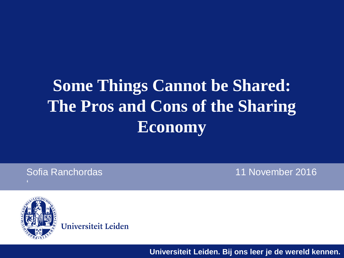#### **Some Things Cannot be Shared: The Pros and Cons of the Sharing Economy**

Sofia Ranchordas 11 November 2016



Universiteit Leiden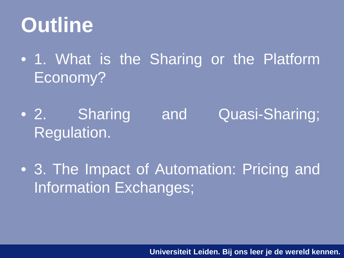#### **Outline**

- 1. What is the Sharing or the Platform Economy?
- 2. Sharing and Quasi-Sharing; Regulation.
- 3. The Impact of Automation: Pricing and Information Exchanges;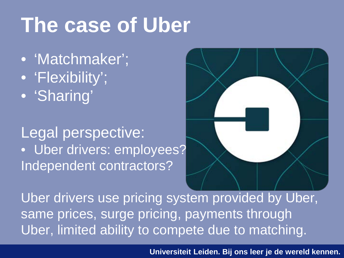#### **The case of Uber**

- 'Matchmaker'; • 'Flexibility';
- 'Sharing'

#### Legal perspective: • Uber drivers: employees? Independent contractors?



Uber drivers use pricing system provided by Uber, same prices, surge pricing, payments through Uber, limited ability to compete due to matching.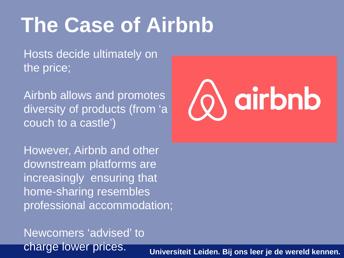#### **The Case of Airbnb**

Hosts decide ultimately on the price;

Airbnb allows and promotes diversity of products (from 'a couch to a castle')



However, Airbnb and other downstream platforms are increasingly ensuring that home-sharing resembles professional accommodation;

Newcomers 'advised' to charge lower prices.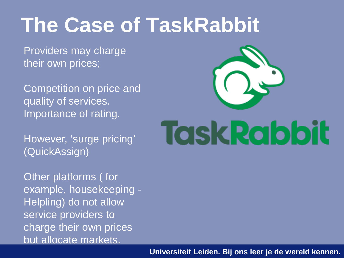#### **The Case of TaskRabbit**

Providers may charge their own prices;

Competition on price and quality of services. Importance of rating.

However, 'surge pricing' (QuickAssign)

Other platforms ( for example, housekeeping - Helpling) do not allow service providers to charge their own prices but allocate markets.

# **Task Rabbit**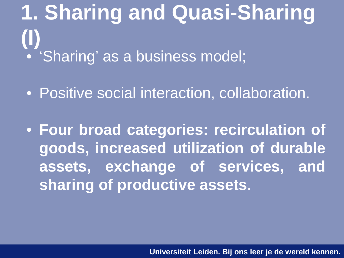**1. Sharing and Quasi-Sharing (I)** • 'Sharing' as a business model;

• Positive social interaction, collaboration.

• **Four broad categories: recirculation of goods, increased utilization of durable assets, exchange of services, and sharing of productive assets**.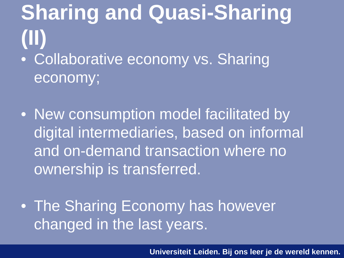**Sharing and Quasi-Sharing (II)** • Collaborative economy vs. Sharing economy;

• New consumption model facilitated by digital intermediaries, based on informal and on-demand transaction where no ownership is transferred.

• The Sharing Economy has however changed in the last years.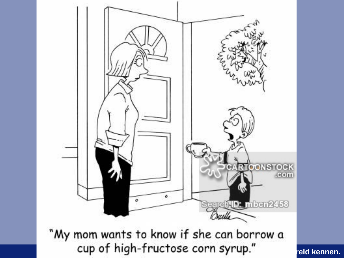

"My mom wants to know if she can borrow a cup of high-fructose corn syrup." Teld kennen.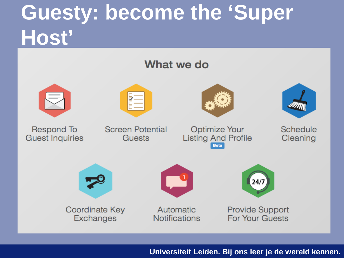#### **Guesty: become the 'Super Host'**

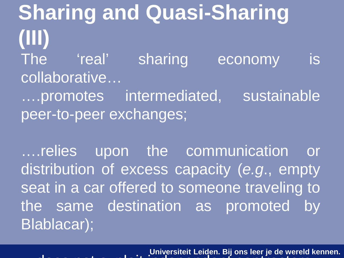**Sharing and Quasi-Sharing (III)** The 'real' sharing economy is collaborative… ….promotes intermediated, sustainable peer-to-peer exchanges;

….relies upon the communication or distribution of excess capacity (*e.g*., empty seat in a car offered to someone traveling to the same destination as promoted by Blablacar);

**Universiteit Leiden. Bij ons leer je de wereld kennen.** does not e ploit independent contractors in dependent contractors in the ploit independent contractors in the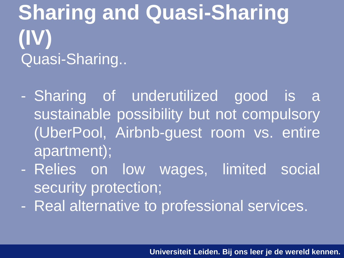**Sharing and Quasi-Sharing (IV)** Quasi-Sharing..

- Sharing of underutilized good is a sustainable possibility but not compulsory (UberPool, Airbnb-guest room vs. entire apartment);
- Relies on low wages, limited social security protection;
- Real alternative to professional services.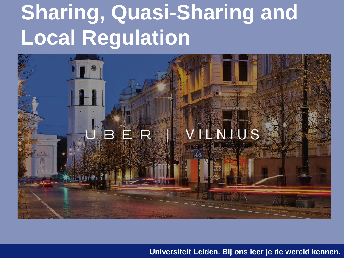#### **Sharing, Quasi-Sharing and Local Regulation**

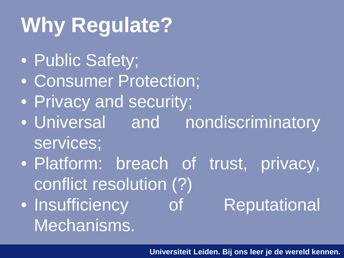### **Why Regulate?**

- Public Safety;
- Consumer Protection;
- Privacy and security;
- Universal and nondiscriminatory services;
- Platform: breach of trust, privacy, conflict resolution (?)
- Insufficiency of Reputational Mechanisms.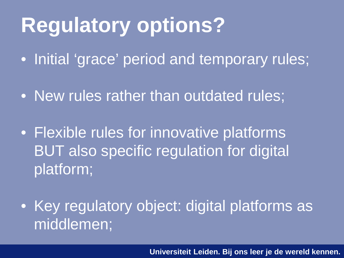#### **Regulatory options?**

• Initial 'grace' period and temporary rules;

- New rules rather than outdated rules;
- Flexible rules for innovative platforms BUT also specific regulation for digital platform;
- Key regulatory object: digital platforms as middlemen;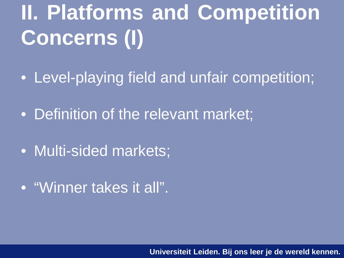## **II. Platforms and Competition Concerns (I)**

- Level-playing field and unfair competition;
- Definition of the relevant market;
- Multi-sided markets;
- "Winner takes it all".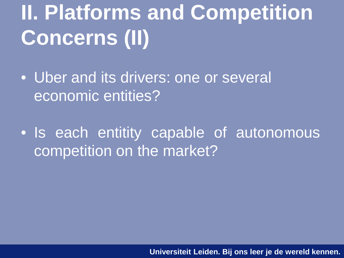### **II. Platforms and Competition Concerns (II)**

• Uber and its drivers: one or several economic entities?

• Is each entitity capable of autonomous competition on the market?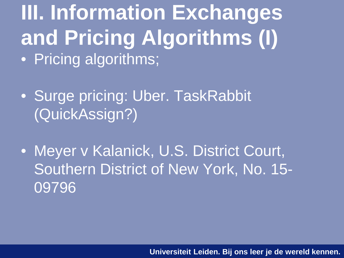**III. Information Exchanges and Pricing Algorithms (I)** • Pricing algorithms;

- Surge pricing: Uber. TaskRabbit (QuickAssign?)
- Meyer v Kalanick, U.S. District Court, Southern District of New York, No. 15- 09796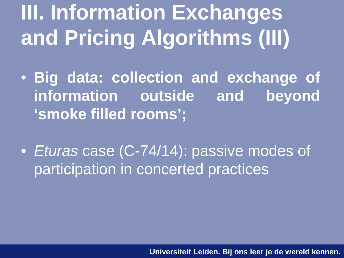### **III. Information Exchanges and Pricing Algorithms (III)**

- **Big data: collection and exchange of information outside and beyond 'smoke filled rooms';**
- *Eturas* case (C-74/14): passive modes of participation in concerted practices